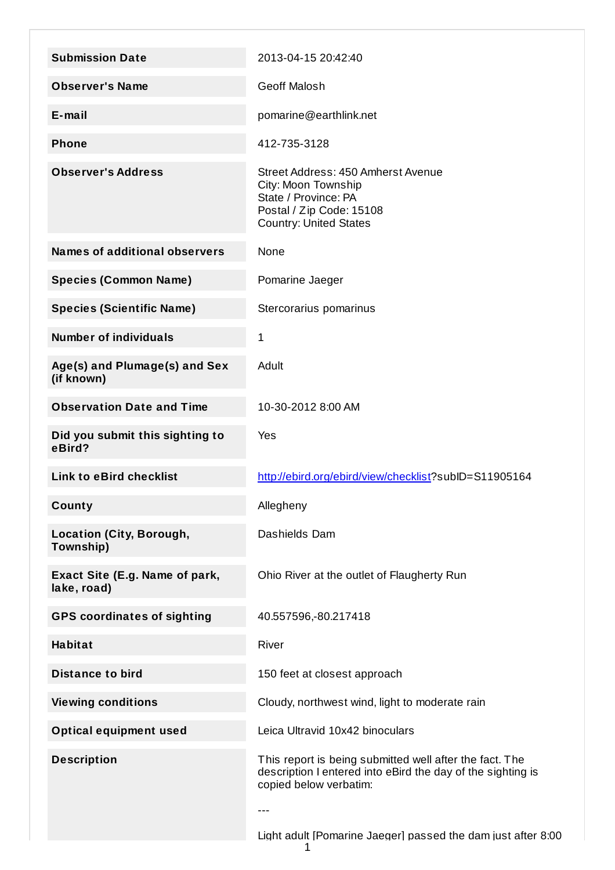| <b>Submission Date</b>                        | 2013-04-15 20:42:40                                                                                                                                     |
|-----------------------------------------------|---------------------------------------------------------------------------------------------------------------------------------------------------------|
| <b>Observer's Name</b>                        | <b>Geoff Malosh</b>                                                                                                                                     |
| $E$ -mail                                     | pomarine@earthlink.net                                                                                                                                  |
| <b>Phone</b>                                  | 412-735-3128                                                                                                                                            |
| <b>Observer's Address</b>                     | Street Address: 450 Amherst Avenue<br>City: Moon Township<br>State / Province: PA<br>Postal / Zip Code: 15108<br><b>Country: United States</b>          |
| <b>Names of additional observers</b>          | None                                                                                                                                                    |
| <b>Species (Common Name)</b>                  | Pomarine Jaeger                                                                                                                                         |
| <b>Species (Scientific Name)</b>              | Stercorarius pomarinus                                                                                                                                  |
| <b>Number of individuals</b>                  | 1                                                                                                                                                       |
| Age(s) and Plumage(s) and Sex<br>(if known)   | Adult                                                                                                                                                   |
| <b>Observation Date and Time</b>              | 10-30-2012 8:00 AM                                                                                                                                      |
| Did you submit this sighting to<br>eBird?     | Yes                                                                                                                                                     |
| <b>Link to eBird checklist</b>                | http://ebird.org/ebird/view/checklist?subID=S11905164                                                                                                   |
| County                                        | Allegheny                                                                                                                                               |
| <b>Location (City, Borough,</b><br>Township)  | Dashields Dam                                                                                                                                           |
| Exact Site (E.g. Name of park,<br>lake, road) | Ohio River at the outlet of Flaugherty Run                                                                                                              |
| <b>GPS coordinates of sighting</b>            | 40.557596,-80.217418                                                                                                                                    |
| <b>Habitat</b>                                | River                                                                                                                                                   |
| <b>Distance to bird</b>                       | 150 feet at closest approach                                                                                                                            |
| <b>Viewing conditions</b>                     | Cloudy, northwest wind, light to moderate rain                                                                                                          |
| <b>Optical equipment used</b>                 | Leica Ultravid 10x42 binoculars                                                                                                                         |
| <b>Description</b>                            | This report is being submitted well after the fact. The<br>description I entered into eBird the day of the sighting is<br>copied below verbatim:<br>--- |
|                                               | Light adult [Pomarine Jaeger] passed the dam just after 8:00<br>1                                                                                       |